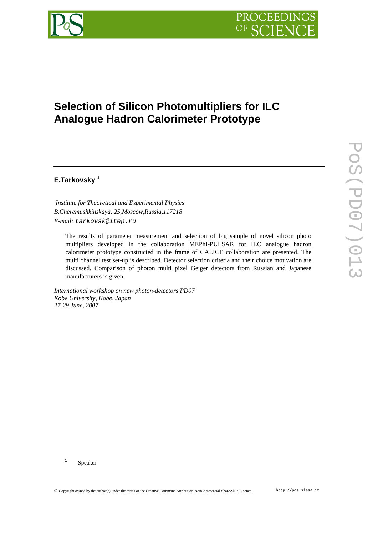

# **Selection of Silicon Photomultipliers for ILC Analogue Hadron Calorimeter Prototype**

# **E.Tarkovsky <sup>1</sup>**

 *Institute for Theoretical and Experimental Physics B.Cheremushkinskaya, 25,Moscow,Russia,117218 E-mail:* tarkovsk@itep.ru

The results of parameter measurement and selection of big sample of novel silicon photo multipliers developed in the collaboration MEPhI-PULSAR for ILC analogue hadron calorimeter prototype constructed in the frame of CALICE collaboration are presented. The multi channel test set-up is described. Detector selection criteria and their choice motivation are discussed. Comparison of photon multi pixel Geiger detectors from Russian and Japanese manufacturers is given.

*International workshop on new photon-detectors PD07 Kobe University, Kobe, Japan 27-29 June, 2007*

Speaker

 $\overline{a}$ 1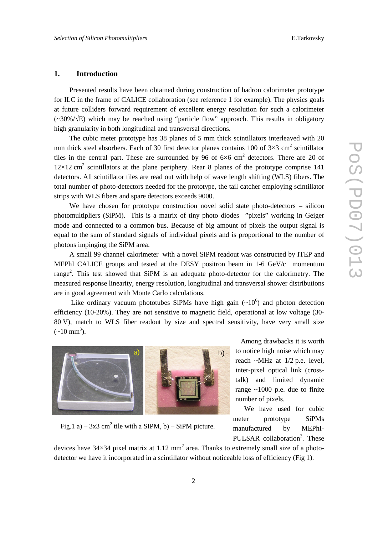# **1. Introduction**

Presented results have been obtained during construction of hadron calorimeter prototype for ILC in the frame of CALICE collaboration (see reference 1 for example). The physics goals at future colliders forward requirement of excellent energy resolution for such a calorimeter (~30%/√E) which may be reached using "particle flow" approach. This results in obligatory high granularity in both longitudinal and transversal directions.

The cubic meter prototype has 38 planes of 5 mm thick scintillators interleaved with 20 mm thick steel absorbers. Each of 30 first detector planes contains 100 of  $3\times3$  cm<sup>2</sup> scintillator tiles in the central part. These are surrounded by 96 of  $6\times6$  cm<sup>2</sup> detectors. There are 20 of  $12\times12$  cm<sup>2</sup> scintillators at the plane periphery. Rear 8 planes of the prototype comprise 141 detectors. All scintillator tiles are read out with help of wave length shifting (WLS) fibers. The total number of photo-detectors needed for the prototype, the tail catcher employing scintillator strips with WLS fibers and spare detectors exceeds 9000.

We have chosen for prototype construction novel solid state photo-detectors – silicon photomultipliers (SiPM). This is a matrix of tiny photo diodes –"pixels" working in Geiger mode and connected to a common bus. Because of big amount of pixels the output signal is equal to the sum of standard signals of individual pixels and is proportional to the number of photons impinging the SiPM area.

A small 99 channel calorimeter with a novel SiPM readout was constructed by ITEP and MEPhI CALICE groups and tested at the DESY positron beam in 1-6 GeV/c momentum range<sup>2</sup>. This test showed that SiPM is an adequate photo-detector for the calorimetry. The measured response linearity, energy resolution, longitudinal and transversal shower distributions are in good agreement with Monte Carlo calculations.

Like ordinary vacuum phototubes SiPMs have high gain  $({\sim}10^6)$  and photon detection efficiency (10-20%). They are not sensitive to magnetic field, operational at low voltage (30- 80 V), match to WLS fiber readout by size and spectral sensitivity, have very small size  $({\sim}10 \text{ mm}^3)$ .



 Among drawbacks it is worth to notice high noise which may reach ~MHz at 1/2 p.e. level, inter-pixel optical link (crosstalk) and limited dynamic range ~1000 p.e. due to finite number of pixels.

 We have used for cubic meter prototype SiPMs manufactured by MEPhI-PULSAR collaboration<sup>3</sup>. These

Fig.1 a) – 3x3 cm<sup>2</sup> tile with a SIPM, b) – SiPM picture.

devices have  $34\times34$  pixel matrix at 1.12 mm<sup>2</sup> area. Thanks to extremely small size of a photodetector we have it incorporated in a scintillator without noticeable loss of efficiency (Fig 1).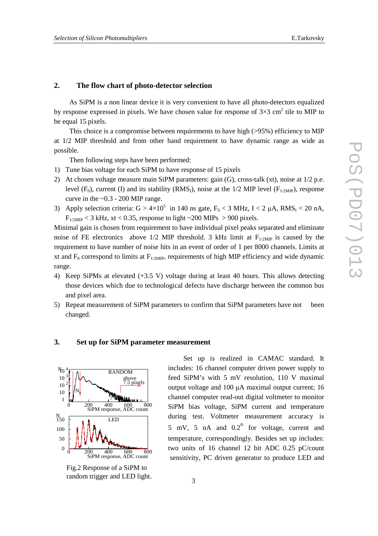#### **2. The flow chart of photo-detector selection**

As SiPM is a non linear device it is very convenient to have all photo-detectors equalized by response expressed in pixels. We have chosen value for response of  $3\times3$  cm<sup>2</sup> tile to MIP to be equal 15 pixels.

This choice is a compromise between requirements to have high (>95%) efficiency to MIP at 1/2 MIP threshold and from other hand requirement to have dynamic range as wide as possible.

Then following steps have been performed:

- 1) Tune bias voltage for each SiPM to have response of 15 pixels
- 2) At chosen voltage measure main SiPM parameters: gain (G), cross-talk (xt), noise at 1/2 p.e. level (F<sub>0</sub>), current (I) and its stability (RMS<sub>I</sub>), noise at the 1/2 MIP level (F<sub>1/2MIP</sub>), response curve in the  $\sim 0.3 - 200$  MIP range.
- 3) Apply selection criteria:  $G > 4 \times 10^5$  in 140 ns gate,  $F_0 < 3$  MHz,  $I < 2 \mu A$ , RMS<sub>I</sub> < 20 nA,  $F_{1/2MIP}$  < 3 kHz, xt < 0.35, response to light ~200 MIPs > 900 pixels.

Minimal gain is chosen from requirement to have individual pixel peaks separated and eliminate noise of FE electronics above 1/2 MIP threshold. 3 kHz limit at  $F_{1/2MIP}$  is caused by the requirement to have number of noise hits in an event of order of 1 per 8000 channels. Limits at xt and  $F_0$  correspond to limits at  $F_{1/2MIP}$ , requirements of high MIP efficiency and wide dynamic range.

- 4) Keep SiPMs at elevated (+3.5 V) voltage during at least 40 hours. This allows detecting those devices which due to technological defects have discharge between the common bus and pixel area.
- 5) Repeat measurement of SiPM parameters to confirm that SiPM parameters have not been changed.

### **3. Set up for SiPM parameter measurement**



Fig.2 Response of a SiPM to random trigger and LED light.

Set up is realized in CAMAC standard. It includes: 16 channel computer driven power supply to feed SiPM's with 5 mV resolution, 110 V maximal output voltage and 100 µA maximal output current; 16 channel computer read-out digital voltmeter to monitor SiPM bias voltage, SiPM current and temperature during test. Voltmeter measurement accuracy is 5 mV, 5 nA and  $0.2^{\circ}$  for voltage, current and temperature, correspondingly. Besides set up includes: two units of 16 channel 12 bit ADC 0.25 pC/count sensitivity, PC driven generator to produce LED and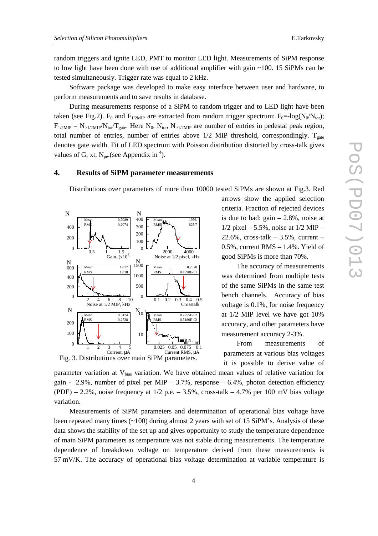Mean

N

random triggers and ignite LED, PMT to monitor LED light. Measurements of SiPM response to low light have been done with use of additional amplifier with gain ~100. 15 SiPMs can be tested simultaneously. Trigger rate was equal to 2 kHz.

Software package was developed to make easy interface between user and hardware, to perform measurements and to save results in database.

During measurements response of a SiPM to random trigger and to LED light have been taken (see Fig.2).  $F_0$  and  $F_{1/2MIP}$  are extracted from random trigger spectrum:  $F_0 = -\log(N_0/N_{tot});$  $F_{1/2MIP} = N_{>1/2MIP}/N_{\text{tot}}/T_{\text{gate}}$ . Here N<sub>0</sub>, N<sub>tot</sub>, N<sub>>1/2MIP</sub> are number of entries in pedestal peak region, total number of entries, number of entries above  $1/2$  MIP threshold, correspondingly. T<sub>gate</sub> denotes gate width. Fit of LED spectrum with Poisson distribution distorted by cross-talk gives values of G, xt,  $N_{pe}$  (see Appendix in <sup>4</sup>).

# **4. Results of SiPM parameter measurements**

400

N

Mean

0.7089

Distributions over parameters of more than 10000 tested SiPMs are shown at Fig.3. Red

 1956. 625.7 .<br>Мил D<sub>N</sub> 0.2074 RMS 400 300 200 200 100 0  $\frac{0.5}{0.5}$  1  $\frac{1}{1.5}$  0<br>Gain,  $(x10^6)$ 2000 4000 Noise at 1/2 pixel, kHz 1500 N N 1.877 Mean 0.2520 600 Mean 0.4998E-01 RMS 1.818 RMS 1000 400 500 200  $\theta$  $\overline{0}$ 0.1 0.2 0.3 0.4 0.5 2 4 6 8 10 Noise at 1/2 MIP, kHz Crosstalk N  $N_{10}$  4 Mean 0.5424 Mean 0.7255E-02 0.2738 0.5180E-02 RMS RMS 200 100 10  $\frac{u}{1}$  Lun<sub>ill</sub>n<sub>n nd</sub><br>0.025 0.05 0.075 0.1  $\Omega$ 1 2 3 4 5 Current, µA Current RMS,  $\mu$ A

Fig. 3. Distributions over main SiPM parameters.

arrows show the applied selection criteria. Fraction of rejected devices is due to bad:  $gain - 2.8\%$ , noise at  $1/2$  pixel – 5.5%, noise at  $1/2$  MIP –  $22.6\%$ , cross-talk –  $3.5\%$ , current – 0.5%, current RMS – 1.4%. Yield of good SiPMs is more than 70%.

The accuracy of measurements was determined from multiple tests of the same SiPMs in the same test bench channels. Accuracy of bias voltage is 0.1%, for noise frequency at 1/2 MIP level we have got 10% accuracy, and other parameters have measurement accuracy 2-3%.

From measurements of parameters at various bias voltages it is possible to derive value of

parameter variation at  $V_{bias}$  variation. We have obtained mean values of relative variation for gain - 2.9%, number of pixel per MIP – 3.7%, response – 6.4%, photon detection efficiency (PDE) – 2.2%, noise frequency at  $1/2$  p.e. – 3.5%, cross-talk – 4.7% per 100 mV bias voltage variation.

Measurements of SiPM parameters and determination of operational bias voltage have been repeated many times (~100) during almost 2 years with set of 15 SiPM's. Analysis of these data shows the stability of the set up and gives opportunity to study the temperature dependence of main SiPM parameters as temperature was not stable during measurements. The temperature dependence of breakdown voltage on temperature derived from these measurements is 57 mV/K. The accuracy of operational bias voltage determination at variable temperature is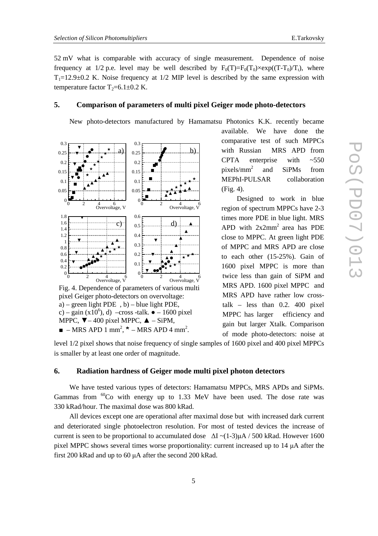0.3

52 mV what is comparable with accuracy of single measurement. Dependence of noise frequency at 1/2 p.e. level may be well described by  $F_0(T)=F_0(T_0)\times exp((T-T_0)/T_t)$ , where  $T_1=12.9\pm0.2$  K. Noise frequency at  $1/2$  MIP level is described by the same expression with temperature factor  $T_2=6.1\pm0.2$  K.

# **5. Comparison of parameters of multi pixel Geiger mode photo-detectors**

New photo-detectors manufactured by Hamamatsu Photonics K.K. recently became

b) a)  $0.25$  $0.25$ 0.2 0.2 0.15 0.15 0.1 0.1 0.05 0.05  $\Omega$  $\Omega$ 0 2 4 6 Overvoltage, V 0 2 4 6<br>Overvoltage, V 1.8 0.6 1.6 c) d) 0.5 1.4  $\blacktriangle$ 0.4 1.2  $\overline{\mathbf{v}}$ 1 0.3 0.8 0.6 0.2 0.4 0.1 0.2 0 0 0 2 4 6<br>Overvoltage, V 0 2 4 6<br>Overvoltage, V Fig. 4. Dependence of parameters of various multi pixel Geiger photo-detectors on overvoltage:  $a$ ) – green light PDE, b) – blue light PDE, c) – gain (x10<sup>6</sup>), d) –cross -talk.  $\bullet$  – 1600 pixel MPPC,  $\blacktriangledown - 400$  pixel MPPC,  $\blacktriangle - SiPM$ ,  $\blacksquare$  – MRS APD 1 mm<sup>2</sup>, \* – MRS APD 4 mm<sup>2</sup>.

0.3

available. We have done the comparative test of such MPPCs with Russian MRS APD from CPTA enterprise with  $\approx 550$ pixels/ $mm<sup>2</sup>$  and SiPMs from MEPhI-PULSAR collaboration (Fig. 4).

Designed to work in blue region of spectrum MPPCs have 2-3 times more PDE in blue light. MRS APD with  $2x2mm^2$  area has PDE close to MPPC. At green light PDE of MPPC and MRS APD are close to each other (15-25%). Gain of 1600 pixel MPPC is more than twice less than gain of SiPM and MRS APD. 1600 pixel MPPC and MRS APD have rather low crosstalk – less than 0.2. 400 pixel MPPC has larger efficiency and gain but larger Xtalk. Comparison of mode photo-detectors: noise at

level 1/2 pixel shows that noise frequency of single samples of 1600 pixel and 400 pixel MPPCs is smaller by at least one order of magnitude.

#### **6. Radiation hardness of Geiger mode multi pixel photon detectors**

We have tested various types of detectors: Hamamatsu MPPCs, MRS APDs and SiPMs. Gammas from  ${}^{60}$ Co with energy up to 1.33 MeV have been used. The dose rate was 330 kRad/hour. The maximal dose was 800 kRad.

All devices except one are operational after maximal dose but with increased dark current and deteriorated single photoelectron resolution. For most of tested devices the increase of current is seen to be proportional to accumulated dose  $\Delta I \sim (1-3)\mu A / 500$  kRad. However 1600 pixel MPPC shows several times worse proportionality: current increased up to 14 µA after the first 200 kRad and up to 60 µA after the second 200 kRad.